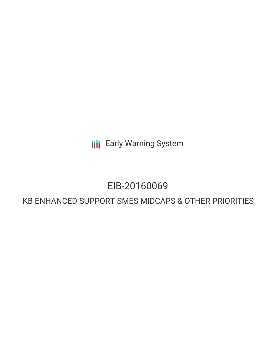**III** Early Warning System

# EIB-20160069

# KB ENHANCED SUPPORT SMES MIDCAPS & OTHER PRIORITIES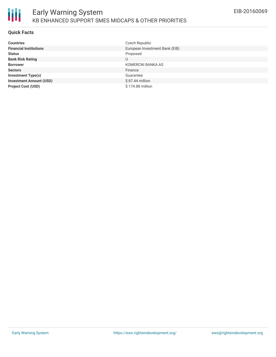## **Quick Facts**

| <b>Countries</b>               | Czech Republic                 |
|--------------------------------|--------------------------------|
| <b>Financial Institutions</b>  | European Investment Bank (EIB) |
| <b>Status</b>                  | Proposed                       |
| <b>Bank Risk Rating</b>        | U                              |
| <b>Borrower</b>                | KOMERCNI BANKA AS              |
| <b>Sectors</b>                 | Finance                        |
| <b>Investment Type(s)</b>      | Guarantee                      |
| <b>Investment Amount (USD)</b> | $$87.44$ million               |
| <b>Project Cost (USD)</b>      | \$174.88 million               |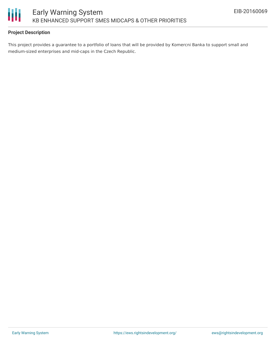

## **Project Description**

This project provides a guarantee to a portfolio of loans that will be provided by Komercni Banka to support small and medium-sized enterprises and mid-caps in the Czech Republic.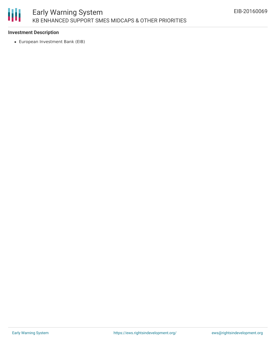

#### **Investment Description**

European Investment Bank (EIB)